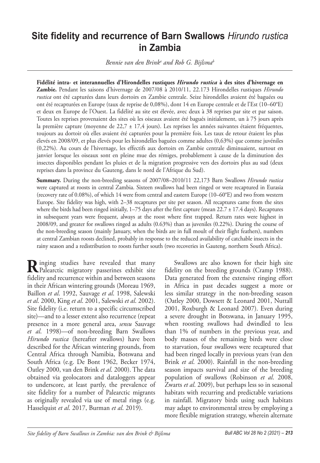# **Site fidelity and recurrence of Barn Swallows** *Hirundo rustica* **in Zambia**

*Bennie van den Brinka and Rob G. Bijlsmab*

**Fidélité intra- et interannuelles d'Hirondelles rustiques** *Hirundo rustica* **à des sites d'hivernage en Zambie.** Pendant les saisons d'hivernage de 2007/08 à 2010/11, 22.173 Hirondelles rustiques *Hirundo rustica* ont été capturées dans leurs dortoirs en Zambie centrale. Seize hirondelles avaient été baguées ou ont été recapturées en Europe (taux de reprise de 0,08%), dont 14 en Europe centrale et de l'Est (10–60°E) et deux en Europe de l'Ouest. La fidélité au site est élevée, avec deux à 38 reprises par site et par saison. Toutes les reprises provenaient des sites où les oiseaux avaient été bagués initialement, un à 75 jours après la première capture (moyenne de  $22.7 \pm 17.4$  jours). Les reprises les années suivantes étaient fréquentes, toujours au dortoir où elles avaient été capturées pour la première fois. Les taux de retour étaient les plus élevés en 2008/09, et plus élevés pour les hirondelles baguées comme adultes (0,63%) que comme juvéniles (0,22%). Au cours de l'hivernage, les effectifs aux dortoirs en Zambie centrale diminuaient, surtout en janvier lorsque les oiseaux sont en pleine mue des rémiges, probablement à cause de la diminution des insectes disponibles pendant les pluies et de la migration progressive vers des dortoirs plus au sud (deux reprises dans la province du Gauteng, dans le nord de l'Afrique du Sud).

**Summary.** During the non-breeding seasons of 2007/08–2010/11 22,173 Barn Swallows *Hirundo rustica* were captured at roosts in central Zambia. Sixteen swallows had been ringed or were recaptured in Eurasia (recovery rate of 0.08%), of which 14 were from central and eastern Europe (10–60°E) and two from western Europe. Site fidelity was high, with 2–38 recaptures per site per season. All recaptures came from the sites where the birds had been ringed initially, 1–75 days after the first capture (mean 22.7 ± 17.4 days). Recaptures in subsequent years were frequent, always at the roost where first trapped. Return rates were highest in 2008/09, and greater for swallows ringed as adults (0.63%) than as juveniles (0.22%). During the course of the non-breeding season (mainly January, when the birds are in full moult of their flight feathers), numbers at central Zambian roosts declined, probably in response to the reduced availability of catchable insects in the rainy season and a redistribution to roosts further south (two recoveries in Gauteng, northern South Africa).

**R**inging studies have revealed that many<br>
Palearctic migratory passerines exhibit site fidelity and recurrence within and between seasons in their African wintering grounds (Moreau 1969, Baillon *et al*. 1992, Sauvage *et al*. 1998, Salewski *et al*. 2000, King *et al*. 2001, Salewski *et al*. 2002). Site fidelity (i.e. return to a specific circumscribed site)—and to a lesser extent also recurrence (repeat presence in a more general area, *sensu* Sauvage *et al*. 1998)—of non-breeding Barn Swallows *Hirundo rustica* (hereafter swallows) have been described for the African wintering grounds, from Central Africa through Namibia, Botswana and South Africa (e.g. De Bont 1962, Becker 1974, Oatley 2000, van den Brink *et al*. 2000). The data obtained via geolocators and dataloggers appear to underscore, at least partly, the prevalence of site fidelity for a number of Palearctic migrants as originally revealed via use of metal rings (e.g. Hasselquist *et al*. 2017, Burman *et al*. 2019).

Swallows are also known for their high site fidelity on the breeding grounds (Cramp 1988). Data generated from the extensive ringing effort in Africa in past decades suggest a more or less similar strategy in the non-breeding season (Oatley 2000, Dowsett & Leonard 2001, Nuttall 2001, Roxburgh & Leonard 2007). Even during a severe drought in Botswana, in January 1995, when roosting swallows had dwindled to less than 1% of numbers in the previous year, and body masses of the remaining birds were close to starvation, four swallows were recaptured that had been ringed locally in previous years (van den Brink *et al*. 2000). Rainfall in the non-breeding season impacts survival and size of the breeding population of swallows (Robinson *et al*. 2008, Zwarts *et al*. 2009), but perhaps less so in seasonal habitats with recurring and predictable variations in rainfall. Migratory birds using such habitats may adapt to environmental stress by employing a more flexible migration strategy, wherein alternate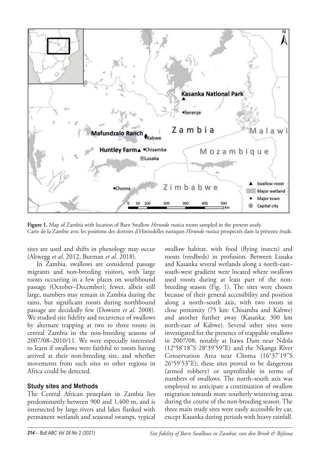

**Figure 1.** Map of Zambia with location of Barn Swallow *Hirundo rustica* roosts sampled in the present study. Carte de la Zambie avec les positions des dortoirs d'Hirondelles rustiques *Hirundo rustica* prospectés dans la présente étude.

sites are used and shifts in phenology may occur (Altwegg *et al*. 2012, Burman *et al*. 2018).

In Zambia, swallows are considered passage migrants and non-breeding visitors, with large roosts occurring in a few places on southbound passage (October–December); fewer, albeit still large, numbers may remain in Zambia during the rains, but significant roosts during northbound passage are decidedly few (Dowsett *et al*. 2008). We studied site fidelity and recurrence of swallows by alternate trapping at two to three roosts in central Zambia in the non-breeding seasons of 2007/08–2010/11. We were especially interested to learn if swallows were faithful to roosts having arrived at their non-breeding site, and whether movements from such sites to other regions in Africa could be detected.

#### **Study sites and Methods**

The Central African peneplain in Zambia lies predominantly between 900 and 1,400 m, and is intersected by large rivers and lakes flanked with permanent wetlands and seasonal swamps, typical swallow habitat, with food (flying insects) and roosts (reedbeds) in profusion. Between Lusaka and Kasanka several wetlands along a north-east– south-west gradient were located where swallows used roosts during at least part of the nonbreeding season (Fig. 1). The sites were chosen because of their general accessibility and position along a north–south axis, with two roosts in close proximity (75 km: Chisamba and Kabwe) and another further away (Kasanka: 300 km north-east of Kabwe). Several other sites were investigated for the presence of trappable swallows in 2007/08, notably at Itawa Dam near Ndola (12°58'18"S 28°39'59"E) and the Nkanga River Conservation Area near Choma (16°37'19"S 26°59'53"E); these sites proved to be dangerous (armed robbery) or unprofitable in terms of numbers of swallows. The north–south axis was employed to anticipate a continuation of swallow migration towards more southerly wintering areas during the course of the non-breeding season. The three main study sites were easily accessible by car, except Kasanka during periods with heavy rainfall.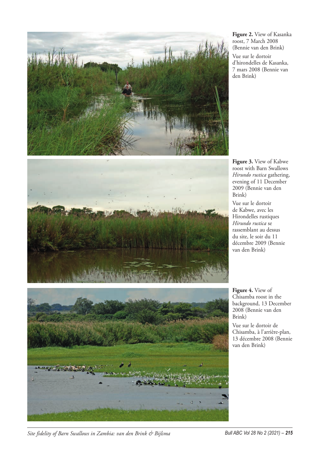

**Figure 2.** View of Kasanka roost, 7 March 2008 (Bennie van den Brink)

Vue sur le dortoir d'hirondelles de Kasanka, 7 mars 2008 (Bennie van den Brink)

**Figure 3.** View of Kabwe roost with Barn Swallows *Hirundo rustica* gathering, evening of 11 December 2009 (Bennie van den Brink)

Vue sur le dortoir de Kabwe, avec les Hirondelles rustiques *Hirundo rustica* se rassemblant au dessus du site, le soir du 11 décembre 2009 (Bennie van den Brink)

**Figure 4.** View of Chisamba roost in the background, 13 December 2008 (Bennie van den Brink)

Vue sur le dortoir de Chisamba, à l'arrière-plan, 13 décembre 2008 (Bennie van den Brink)

*Site fidelity of Barn Swallows in Zambia: van den Brink & Bijlsma Bull ABC Vol 28 No 2 (2021) – 215*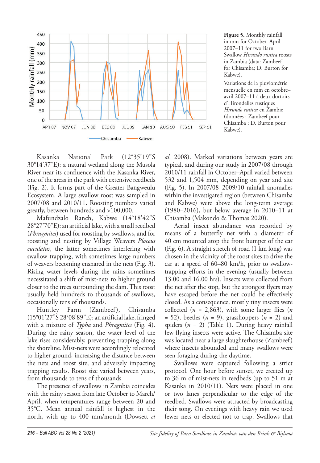

**Figure 5.** Monthly rainfall in mm for October–April 2007–11 for two Barn Swallow *Hirundo rustica* roosts in Zambia (data: Zambeef for Chisamba; D. Burton for Kabwe).

Variations de la pluviométrie mensuelle en mm en octobre– avril 2007–11 à deux dortoirs d'Hirondelles rustiques *Hirundo rustica* en Zambie (données : Zambeef pour Chisamba ; D. Burton pour Kabwe).

Kasanka National Park (12°35'19"S 30°14'37"E): a natural wetland along the Musola River near its confluence with the Kasanka River, one of the areas in the park with extensive reedbeds (Fig. 2). It forms part of the Greater Bangweulu Ecosystem. A large swallow roost was sampled in 2007/08 and 2010/11. Roosting numbers varied greatly, between hundreds and >100,000.

Mafundzalo Ranch, Kabwe (14°18'42"S 28°27'70"E): an artificial lake, with a small reedbed (*Phragmites*) used for roosting by swallows, and for roosting and nesting by Village Weavers *Ploceus cuculatus*, the latter sometimes interfering with swallow trapping, with sometimes large numbers of weavers becoming ensnared in the nets (Fig. 3). Rising water levels during the rains sometimes necessitated a shift of mist-nets to higher ground closer to the trees surrounding the dam. This roost usually held hundreds to thousands of swallows, occasionally tens of thousands.

Huntley Farm (Zambeef), Chisamba (15°01'27"S 28°08'89"E): an artificial lake, fringed with a mixture of *Typha* and *Phragmites* (Fig. 4). During the rainy season, the water level of the lake rises considerably, preventing trapping along the shoreline. Mist-nets were accordingly relocated to higher ground, increasing the distance between the nets and roost site, and adversely impacting trapping results. Roost size varied between years, from thousands to tens of thousands.

The presence of swallows in Zambia coincides with the rainy season from late October to March/ April, when temperatures range between 20 and 35°C. Mean annual rainfall is highest in the north, with up to 400 mm/month (Dowsett *et*  *al*. 2008). Marked variations between years are typical, and during our study in 2007/08 through 2010/11 rainfall in October–April varied between 532 and 1,504 mm, depending on year and site (Fig. 5). In 2007/08–2009/10 rainfall anomalies within the investigated region (between Chisamba and Kabwe) were above the long-term average (1980–2016), but below average in 2010–11 at Chisamba (Makondo & Thomas 2020).

Aerial insect abundance was recorded by means of a butterfly net with a diameter of 40 cm mounted atop the front bumper of the car (Fig. 6). A straight stretch of road (1 km long) was chosen in the vicinity of the roost sites to drive the car at a speed of 60–80 km/h, prior to swallowtrapping efforts in the evening (usually between 13.00 and 16.00 hrs). Insects were collected from the net after the stop, but the strongest flyers may have escaped before the net could be effectively closed. As a consequence, mostly tiny insects were collected (*n* = 2,863), with some larger flies (*n* = 52), beetles (*n* = 9), grasshoppers (*n* = 2) and spiders (*n* = 2) (Table 1). During heavy rainfall few flying insects were active. The Chisamba site was located near a large slaughterhouse (Zambeef) where insects abounded and many swallows were seen foraging during the daytime.

Swallows were captured following a strict protocol. One hour before sunset, we erected up to 36 m of mist-nets in reedbeds (up to 51 m at Kasanka in 2010/11). Nets were placed in one or two lanes perpendicular to the edge of the reedbed. Swallows were attracted by broadcasting their song. On evenings with heavy rain we used fewer nets or elected not to trap. Swallows that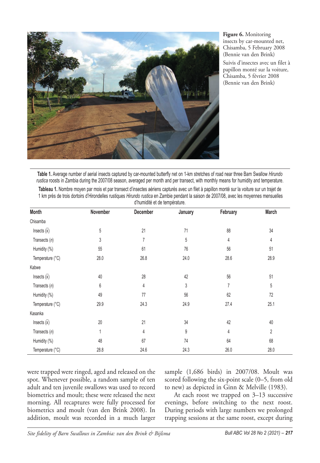

**Figure 6.** Monitoring insects by car-mounted net, Chisamba, 5 February 2008 (Bennie van den Brink)

Suivis d'insectes avec un filet à papillon monté sur la voiture, Chisamba, 5 février 2008 (Bennie van den Brink)

**Table 1.** Average number of aerial insects captured by car-mounted butterfly net on 1-km stretches of road near three Barn Swallow *Hirundo rustica* roosts in Zambia during the 2007/08 season, averaged per month and per transect, with monthly means for humidity and temperature.

| Tableau 1. Nombre moyen par mois et par transect d'insectes aériens capturés avec un filet à papillon monté sur la voiture sur un traiet de |  |  |  |  |  |  |
|---------------------------------------------------------------------------------------------------------------------------------------------|--|--|--|--|--|--|
| 1 km près de trois dortoirs d'Hirondelles rustiques Hirundo rustica en Zambie pendant la saison de 2007/08, avec les moyennes mensuelles    |  |  |  |  |  |  |
| d'humidité et de température.                                                                                                               |  |  |  |  |  |  |

| Month                    | November | December       | January | February | March |
|--------------------------|----------|----------------|---------|----------|-------|
| Chisamba                 |          |                |         |          |       |
| Insects $(\overline{x})$ | 5        | 21             | 71      | 88       | 34    |
| Transects $(n)$          | 3        | $\overline{7}$ | 5       | 4        | 4     |
| Humidity (%)             | 55       | 61             | 76      | 56       | 51    |
| Temperature (°C)         | 28.0     | 26.8           | 24.0    | 28.6     | 28.9  |
| Kabwe                    |          |                |         |          |       |
| Insects $(\overline{x})$ | 40       | 28             | 42      | 56       | 51    |
| Transects $(n)$          | 6        | $\overline{4}$ | 3       | 7        | 5     |
| Humidity (%)             | 49       | 77             | 56      | 62       | 72    |
| Temperature (°C)         | 29.9     | 24.3           | 24.9    | 27.4     | 25.1  |
| Kasanka                  |          |                |         |          |       |
| Insects $(\overline{x})$ | 20       | 21             | 34      | 42       | 40    |
| Transects $(n)$          | 1        | 4              | 9       | 4        | 2     |
| Humidity (%)             | 48       | 67             | 74      | 64       | 68    |
| Temperature (°C)         | 28.8     | 24.6           | 24.3    | 26.0     | 28.0  |

were trapped were ringed, aged and released on the spot. Whenever possible, a random sample of ten adult and ten juvenile swallows was used to record biometrics and moult; these were released the next morning. All recaptures were fully processed for biometrics and moult (van den Brink 2008). In addition, moult was recorded in a much larger

sample (1,686 birds) in 2007/08. Moult was scored following the six-point scale (0–5, from old to new) as depicted in Ginn & Melville (1983).

At each roost we trapped on 3–13 successive evenings, before switching to the next roost. During periods with large numbers we prolonged trapping sessions at the same roost, except during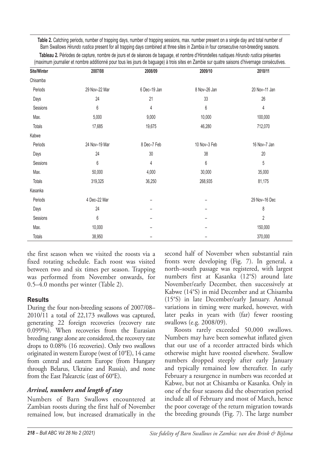**Table 2.** Catching periods, number of trapping days, number of trapping sessions, max. number present on a single day and total number of Barn Swallows *Hirundo rustica* present for all trapping days combined at three sites in Zambia in four consecutive non-breeding seasons.

**Tableau 2.** Périodes de capture, nombre de jours et de séances de baguage, et nombre d'Hirondelles rustiques *Hirundo rustica* présentes (maximum journalier et nombre additionné pour tous les jours de baguage) à trois sites en Zambie sur quatre saisons d'hivernage consécutives.

| Site/Winter   | 2007/08       | 2008/09         | 2009/10      | 2010/11        |
|---------------|---------------|-----------------|--------------|----------------|
| Chisamba      |               |                 |              |                |
| Periods       | 29 Nov-22 Mar | 6 Dec-19 Jan    | 8 Nov-26 Jan | 20 Nov-11 Jan  |
| Days          | 24            | 21              | 33           | 26             |
| Sessions      | 6             | 4               | 6            | 4              |
| Max.          | 5,000         | 9,000           | 10,000       | 100,000        |
| Totals        | 17,685        | 19,675          | 46,280       | 712,070        |
| Kabwe         |               |                 |              |                |
| Periods       | 24 Nov-19 Mar | 8 Dec-7 Feb     | 10 Nov-3 Feb | 16 Nov-7 Jan   |
| Days          | 24            | 30              | 38           | 20             |
| Sessions      | 6             | 4               | 6            | 5              |
| Max.          | 50,000        | 4,000           | 30,000       | 35,000         |
| Totals        | 319,325       | 36,250          | 268,935      | 81,175         |
| Kasanka       |               |                 |              |                |
| Periods       | 4 Dec-22 Mar  | $\qquad \qquad$ |              | 29 Nov-16 Dec  |
| Days          | 24            |                 |              | 8              |
| Sessions      | 6             |                 |              | $\overline{2}$ |
| Max.          | 10,000        |                 |              | 150,000        |
| <b>Totals</b> | 38,950        |                 |              | 370,000        |

the first season when we visited the roosts via a fixed rotating schedule. Each roost was visited between two and six times per season. Trapping was performed from November onwards, for 0.5–4.0 months per winter (Table 2).

## **Results**

During the four non-breeding seasons of 2007/08– 2010/11 a total of 22,173 swallows was captured, generating 22 foreign recoveries (recovery rate 0.099%). When recoveries from the Eurasian breeding range alone are considered, the recovery rate drops to 0.08% (16 recoveries). Only two swallows originated in western Europe (west of 10°E), 14 came from central and eastern Europe (from Hungary through Belarus, Ukraine and Russia), and none from the East Palearctic (east of 60°E).

# *Arrival, numbers and length of stay*

Numbers of Barn Swallows encountered at Zambian roosts during the first half of November remained low, but increased dramatically in the second half of November when substantial rain fronts were developing (Fig. 7). In general, a north–south passage was registered, with largest numbers first at Kasanka (12°S) around late November/early December, then successively at Kabwe (14°S) in mid December and at Chisamba (15°S) in late December/early January. Annual variations in timing were marked, however, with later peaks in years with (far) fewer roosting swallows (e.g. 2008/09).

Roosts rarely exceeded 50,000 swallows. Numbers may have been somewhat inflated given that our use of a recorder attracted birds which otherwise might have roosted elsewhere. Swallow numbers dropped steeply after early January and typically remained low thereafter. In early February a resurgence in numbers was recorded at Kabwe, but not at Chisamba or Kasanka. Only in one of the four seasons did the observation period include all of February and most of March, hence the poor coverage of the return migration towards the breeding grounds (Fig. 7). The large number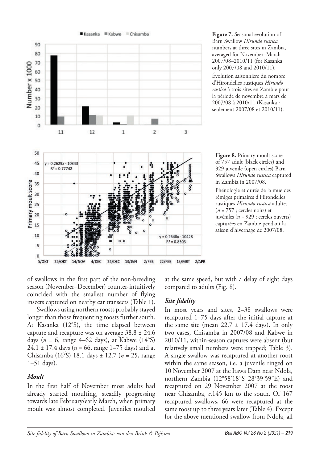

**Figure 7.** Seasonal evolution of Barn Swallow *Hirundo rustica* numbers at three sites in Zambia, averaged for November–March 2007/08–2010/11 (for Kasanka only 2007/08 and 2010/11).

Évolution saisonnière du nombre d'Hirondelles rustiques *Hirundo rustica* à trois sites en Zambie pour la période de novembre à mars de 2007/08 à 2010/11 (Kasanka : seulement 2007/08 et 2010/11).

**Figure 8.** Primary moult score of 757 adult (black circles) and 929 juvenile (open circles) Barn Swallows *Hirundo rustica* captured in Zambia in 2007/08.

Phénologie et durée de la mue des rémiges primaires d'Hirondelles rustiques *Hirundo rustica* adultes  $(n = 757$ ; cercles noirs) et juvéniles (*n* = 929 ; cercles ouverts) capturées en Zambie pendant la saison d'hivernage de 2007/08.

of swallows in the first part of the non-breeding season (November–December) counter-intuitively coincided with the smallest number of flying insects captured on nearby car transects (Table 1).

Swallows using northern roosts probably stayed longer than those frequenting roosts further south. At Kasanka (12°S), the time elapsed between capture and recapture was on average 38.8 ± 24.6 days ( $n = 6$ , range 4–62 days), at Kabwe (14°S) 24.1 ± 17.4 days (*n* = 66, range 1–75 days) and at Chisamba (16°S) 18.1 days ± 12.7 (*n* = 25, range 1–51 days).

#### *Moult*

In the first half of November most adults had already started moulting, steadily progressing towards late February/early March, when primary moult was almost completed. Juveniles moulted at the same speed, but with a delay of eight days compared to adults (Fig. 8).

# *Site delity*

In most years and sites, 2–38 swallows were recaptured 1–75 days after the initial capture at the same site (mean  $22.7 \pm 17.4$  days). In only two cases, Chisamba in 2007/08 and Kabwe in 2010/11, within-season captures were absent (but relatively small numbers were trapped; Table 3). A single swallow was recaptured at another roost within the same season, i.e. a juvenile ringed on 10 November 2007 at the Itawa Dam near Ndola, northern Zambia (12°58'18"S 28°39'59"E) and recaptured on 29 November 2007 at the roost near Chisamba, *c*.145 km to the south. Of 167 recaptured swallows, 66 were recaptured at the same roost up to three years later (Table 4). Except for the above-mentioned swallow from Ndola, all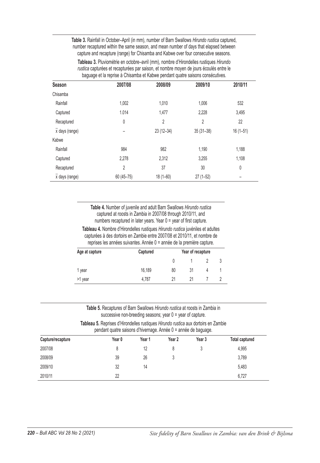**Table 3.** Rainfall in October–April (in mm), number of Barn Swallows *Hirundo rustica* captured, number recaptured within the same season, and mean number of days that elapsed between capture and recapture (range) for Chisamba and Kabwe over four consecutive seasons.

**Tableau 3.** Pluviométrie en octobre–avril (mm), nombre d'Hirondelles rustiques *Hirundo rustica* capturées et recapturées par saison, et nombre moyen de jours écoulés entre le baguage et la reprise à Chisamba et Kabwe pendant quatre saisons consécutives.

| Season                      | 2007/08         | 2008/09        | 2009/10        | 2010/11      |
|-----------------------------|-----------------|----------------|----------------|--------------|
| Chisamba                    |                 |                |                |              |
| Rainfall                    | 1,002           | 1,010          | 1,006          | 532          |
| Captured                    | 1.014           | 1,477          | 2,228          | 3,495        |
| Recaptured                  | 0               | $\overline{2}$ | $\overline{2}$ | 22           |
| $\overline{x}$ days (range) | $\qquad \qquad$ | $23(12-34)$    | $35(31-38)$    | $16(1 - 51)$ |
| Kabwe                       |                 |                |                |              |
| Rainfall                    | 984             | 982            | 1,190          | 1,188        |
| Captured                    | 2.278           | 2,312          | 3,255          | 1,108        |
| Recaptured                  | $\overline{2}$  | 37             | 30             | 0            |
| $\overline{x}$ days (range) | $60(45 - 75)$   | $18(1 - 60)$   | $27(1-52)$     |              |

**Table 4.** Number of juvenile and adult Barn Swallows *Hirundo rustica* captured at roosts in Zambia in 2007/08 through 2010/11, and numbers recaptured in later years. Year 0 = year of first capture.

**Tableau 4.** Nombre d'Hirondelles rustiques *Hirundo rustica* juvéniles et adultes capturées à des dortoirs en Zambie entre 2007/08 et 2010/11, et nombre de reprises les années suivantes. Année 0 = année de la première capture.

| Age at capture | Captured | Year of recapture |    |  |  |
|----------------|----------|-------------------|----|--|--|
|                |          | 0                 |    |  |  |
| 1 year         | 16,189   | 80                | 31 |  |  |
| >1 year        | 4.787    | 21                | 21 |  |  |

**Table 5.** Recaptures of Barn Swallows *Hirundo rustica* at roosts in Zambia in successive non-breeding seasons; year 0 = year of capture.

**Tableau 5.** Reprises d'Hirondelles rustiques *Hirundo rustica* aux dortoirs en Zambie pendant quatre saisons d'hivernage. Année 0 = année de baguage.

| Capture/recapture | Year 0 | Year 1 | Year 2 | Year 3 | <b>Total captured</b> |
|-------------------|--------|--------|--------|--------|-----------------------|
| 2007/08           | 8      | 12     |        |        | 4.995                 |
| 2008/09           | 39     | 26     |        |        | 3.789                 |
| 2009/10           | 32     | 14     |        |        | 5,483                 |
| 2010/11           | 22     |        |        |        | 6.727                 |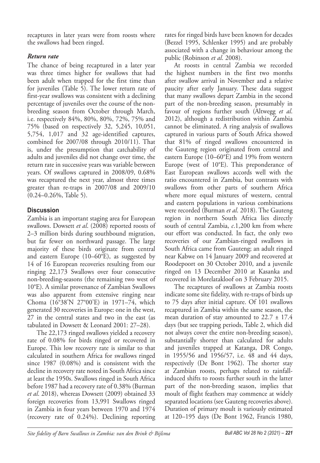recaptures in later years were from roosts where the swallows had been ringed.

# *Return rate*

The chance of being recaptured in a later year was three times higher for swallows that had been adult when trapped for the first time than for juveniles (Table 5). The lower return rate of first-year swallows was consistent with a declining percentage of juveniles over the course of the nonbreeding season from October through March, i.e. respectively 84%, 80%, 80%, 72%, 75% and 75% (based on respectively 32, 5,245, 10,051, 5,754, 1,017 and 32 age-identified captures, combined for 2007/08 through 2010/11). That is, under the presumption that catchability of adults and juveniles did not change over time, the return rate in successive years was variable between years. Of swallows captured in 2008/09, 0.68% was recaptured the next year, almost three times greater than re-traps in 2007/08 and 2009/10 (0.24–0.26%, Table 5).

## **Discussion**

Zambia is an important staging area for European swallows. Dowsett *et al*. (2008) reported roosts of 2–3 million birds during southbound migration, but far fewer on northward passage. The large majority of these birds originate from central and eastern Europe (10–60°E), as suggested by 14 of 16 European recoveries resulting from our ringing 22,173 Swallows over four consecutive non-breeding-seasons (the remaining two west of 10°E). A similar provenance of Zambian Swallows was also apparent from extensive ringing near Choma (16°38'N 27°00'E) in 1971–74, which generated 30 recoveries in Europe: one in the west, 27 in the central states and two in the east (as tabulated in Dowsett & Leonard 2001: 27–28).

The 22,173 ringed swallows yielded a recovery rate of 0.08% for birds ringed or recovered in Europe. This low recovery rate is similar to that calculated in southern Africa for swallows ringed since 1987 (0.08%) and is consistent with the decline in recovery rate noted in South Africa since at least the 1950s. Swallows ringed in South Africa before 1987 had a recovery rate of 0.38% (Burman *et al*. 2018), whereas Dowsett (2009) obtained 33 foreign recoveries from 13,991 Swallows ringed in Zambia in four years between 1970 and 1974 (recovery rate of 0.24%). Declining reporting

rates for ringed birds have been known for decades (Bezzel 1995, Schlenker 1995) and are probably associated with a change in behaviour among the public (Robinson *et al*. 2008).

At roosts in central Zambia we recorded the highest numbers in the first two months after swallow arrival in November and a relative paucity after early January. These data suggest that many swallows depart Zambia in the second part of the non-breeding season, presumably in favour of regions further south (Altwegg *et al*. 2012), although a redistribution within Zambia cannot be eliminated. A ring analysis of swallows captured in various parts of South Africa showed that 81% of ringed swallows encountered in the Gauteng region originated from central and eastern Europe (10–60°E) and 19% from western Europe (west of 10°E). This preponderance of East European swallows accords well with the ratio encountered in Zambia, but contrasts with swallows from other parts of southern Africa where more equal mixtures of western, central and eastern populations in various combinations were recorded (Burman *et al*. 2018). The Gauteng region in northern South Africa lies directly south of central Zambia, *c*.1,200 km from where our effort was conducted. In fact, the only two recoveries of our Zambian-ringed swallows in South Africa came from Gauteng; an adult ringed near Kabwe on 14 January 2009 and recovered at Roodepoort on 30 October 2010, and a juvenile ringed on 13 December 2010 at Kasanka and recovered in Morelatakloof on 3 February 2015.

The recaptures of swallows at Zambia roosts indicate some site fidelity, with re-traps of birds up to 75 days after initial capture. Of 101 swallows recaptured in Zambia within the same season, the mean duration of stay amounted to  $22.7 \pm 17.4$ days (but see trapping periods, Table 2, which did not always cover the entire non-breeding season), substantially shorter than calculated for adults and juveniles trapped at Katanga, DR Congo, in 1955/56 and 1956/57, i.e. 48 and 44 days, respectively (De Bont 1962). The shorter stay at Zambian roosts, perhaps related to rainfallinduced shifts to roosts further south in the latter part of the non-breeding season, implies that moult of flight feathers may commence at widely separated locations (see Gauteng recoveries above). Duration of primary moult is variously estimated at 120–195 days (De Bont 1962, Francis 1980,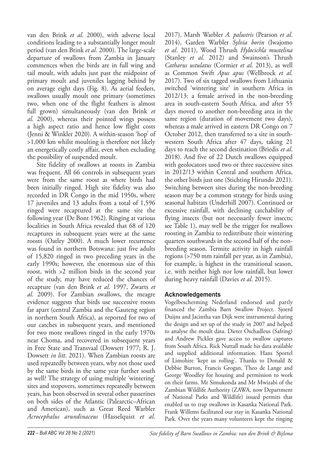van den Brink *et al*. 2000), with adverse local conditions leading to a substantially longer moult period (van den Brink *et al*. 2000). The large-scale departure of swallows from Zambia in January commences when the birds are in full wing and tail moult, with adults just past the midpoint of primary moult and juveniles lagging behind by on average eight days (Fig. 8). As aerial feeders, swallows usually moult one primary (sometimes two, when one of the flight feathers is almost full grown) simultaneously (van den Brink *et al*. 2000), whereas their pointed wings possess a high aspect ratio and hence low flight costs (Jenni & Winkler 2020). A within-season 'hop' of >1,000 km whilst moulting is therefore not likely an energetically costly affair, even when excluding the possibility of suspended moult.

Site fidelity of swallows at roosts in Zambia was frequent. All 66 controls in subsequent years were from the same roost as where birds had been initially ringed. High site fidelity was also recorded in DR Congo in the mid 1950s, where 17 juveniles and 13 adults from a total of 1,596 ringed were recaptured at the same site the following year (De Bont 1962). Ringing at various localities in South Africa revealed that 68 of 120 recaptures in subsequent years were at the same roosts (Oatley 2000). A much lower recurrence was found in northern Botswana: just five adults of 15,820 ringed in two preceding years in the early 1990s; however, the enormous size of this roost, with >2 million birds in the second year of the study, may have reduced the chances of recapture (van den Brink *et al*. 1997, Zwarts *et al*. 2009). For Zambian swallows, the meagre evidence suggests that birds use successive roosts far apart (central Zambia and the Gauteng region in northern South Africa), as reported for two of our catches in subsequent years, and mentioned for two more swallows ringed in the early 1970s near Choma, and recovered in subsequent years in Free State and Transvaal (Dowsett 1977; R. J. Dowsett *in litt*. 2021). When Zambian roosts are used repeatedly between years, why not those used by the same birds in the same year further south as well? The strategy of using multiple 'wintering' sites and stopovers, sometimes repeatedly between years, has been observed in several other passerines on both sides of the Atlantic (Palearctic–African and American), such as Great Reed Warbler *Acrocephalus arundinaceus* (Hasselquist *et al*.

2017), Marsh Warbler *A. palustris* (Pearson *et al*. 2014), Garden Warbler *Sylvia borin* (Iwajomo *et al*. 2011), Wood Thrush *Hylocichla mustelina* (Stanley *et al*. 2012) and Swainson's Thrush *Catharus ustulatus* (Cormier *et al*. 2013), as well as Common Swift *Apus apus* (Wellbrock *et al*. 2017). Two of six tagged swallows from Lithuania switched 'wintering site' in southern Africa in 2012/13: a female arrived in the non-breeding area in south-eastern South Africa, and after 55 days moved to another non-breeding area in the same region (duration of movement two days), whereas a male arrived in eastern DR Congo on 7 October 2012, then transferred to a site in southwestern South Africa after 47 days, taking 21 days to reach the second destination (Briedis *et al*. 2018). And five of 22 Dutch swallows equipped with geolocators used two or three successive sites in 2012/13 within Central and southern Africa, the other birds just one (Stichting Hirundo 2021). Switching between sites during the non-breeding season may be a common strategy for birds using seasonal habitats (Underhill 2007). Continued or excessive rainfall, with declining catchability of flying insects (but not necessarily fewer insects; see Table 1), may well be the trigger for swallows roosting in Zambia to redistribute their wintering quarters southwards in the second half of the nonbreeding season. Termite activity in high rainfall regions (>750 mm rainfall per year, as in Zambia), for example, is highest in the transitional season, i.e. with neither high nor low rainfall, but lower during heavy rainfall (Davies *et al*. 2015).

## **Acknowledgements**

Vogelbescherming Nederland endorsed and partly financed the Zambia Barn Swallow Project. Sjoerd Duijns and Jacintha van Dijk were instrumental during the design and set up of the study in 2007 and helped to analyse the moult data. Dieter Oschadleus (Safring) and Andrew Pickles gave access to swallow captures from South Africa. Rick Nuttall made his data available and supplied additional information. Hans Sportel of Limohire 'kept us rolling'. Thanks to Donald & Debbie Burton, Francis Grogan, Theo de Lange and George Woodley for housing and permission to work on their farms. Mr Simukonda and Mr Mwizabi of the Zambian Wildlife Authority (ZAWA, now Department of National Parks and Wildlife) issued permits that enabled us to trap swallows in Kasanka National Park. Frank Willems facilitated our stay in Kasanka National Park. Over the years many volunteers kept the ringing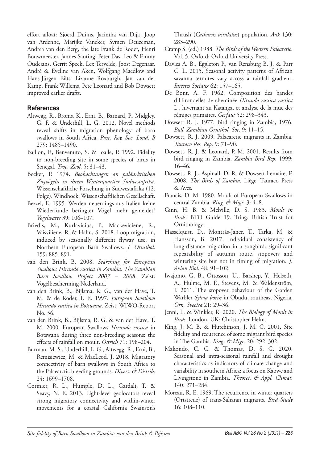effort afloat: Sjoerd Duijns, Jacintha van Dijk, Joop van Ardenne, Marijke Vaneker, Symen Deuzeman, Andrea van den Berg, the late Frank de Roder, Henri Bouwmeester, Jannes Santing, Peter Das, Leo & Emmy Oudejans, Gerrit Speek, Lex Tervelde, Joost Degenaar, André & Eveline van Aken, Wolfgang Maedlow and Hans-Jürgen Eilts. Lizanne Roxburgh, Jan van der Kamp, Frank Willems, Pete Leonard and Bob Dowsett improved earlier drafts.

#### **References**

- Altwegg, R., Broms, K., Erni, B., Barnard, P., Midgley, G. F. & Underhill, L. G. 2012. Novel methods reveal shifts in migration phenology of barn swallows in South Africa. *Proc. Roy. Soc. Lond. B* 279: 1485–1490.
- Baillon, F., Benvenuto, S. & Ioalle, P. 1992. Fidelity to non-breeding site in some species of birds in Senegal. *Trop. Zool*. 5: 31–43.
- Becker, P. 1974. *Beobachtungen an paläarktischen Zugvögeln in ihrem Winterquartier Südwestafrika*. Wissenschaftliche Forschung in Südwestafrika (12. Folge). Windhoek: Wissenschaftlichen Gesellschaft.
- Bezzel, E. 1995. Werden neuerdings aus Italien keine Wiederfunde beringter Vögel mehr gemeldet? *Vogelwarte* 39: 106–107.
- Briedis, M., Kurlavicius, P., Mackeviciene, R., Vaisviliene, R. & Hahn, S. 2018. Loop migration, induced by seasonally different flyway use, in Northern European Barn Swallows. *J. Ornithol*. 159: 885–891.
- van den Brink, B. 2008. *Searching for European Swallows Hirundo rustica in Zambia. The Zambian Barn Swallow Project 2007 – 2008*. Zeist: Vogelbescherming Nederland.
- van den Brink, B., Bijlsma, R. G., van der Have, T. M. & de Roder, F. E. 1997. *European Swallows Hirundo rustica in Botswana*. Zeist: WIWO-Report No. 56.
- van den Brink, B., Bijlsma, R. G. & van der Have, T. M. 2000. European Swallows *Hirundo rustica* in Botswana during three non-breeding seasons: the effects of rainfall on moult. *Ostrich* 71: 198–204.
- Burman, M. S., Underhill, L. G., Altwegg, R., Erni, B., Remisiewicz, M. & MacLeod, J. 2018. Migratory connectivity of barn swallows in South Africa to the Palaearctic breeding grounds. *Divers. & Distrib*. 24: 1699–1708.
- Cormier, R. L., Humple, D. L., Gardali, T. & Seavy, N. E. 2013. Light-level geolocators reveal strong migratory connectivity and within-winter movements for a coastal California Swainson's

Thrush (*Catharus ustulatus*) population. *Auk* 130: 283–290.

- Cramp S. (ed.) 1988. *The Birds of the Western Palearctic*. Vol. 5. Oxford: Oxford University Press.
- Davies A. B., Eggleton P., van Rensburg B. J. & Parr C. L. 2015. Seasonal activity patterns of African savanna termites vary across a rainfall gradient. *Insectes Sociaux* 62: 157–165.
- De Bont, A. F. 1962. Composition des bandes d'Hirondelles de cheminée *Hirundo rustica rustica* L., hivernant au Katanga, et analyse de la mue des rémiges primaires. *Gerfaut* 52: 298–343.
- Dowsett R. J. 1977. Bird ringing in Zambia, 1976. *Bull. Zambian Ornithol. Soc*. 9: 11–15.
- Dowsett, R. J. 2009. Palaearctic migrants in Zambia. *Tauraco Res. Rep*. 9: 71–90.
- Dowsett, R. J. & Leonard, P. M. 2001. Results from bird ringing in Zambia. *Zambia Bird Rep*. 1999: 16–46.
- Dowsett, R. J., Aspinall, D. R. & Dowsett-Lemaire, F. 2008. *The Birds of Zambia*. Liège: Tauraco Press & Aves.
- Francis, D. M. 1980. Moult of European Swallows in central Zambia. *Ring. & Migr*. 3: 4–8.
- Ginn, H. B. & Melville, D. S. 1983. *Moult in Birds*. BTO Guide 19. Tring: British Trust for Ornithology.
- Hasselquist, D., Montrás-Janer, T., Tarka, M. & Hansson, B. 2017. Individual consistency of long-distance migration in a songbird: significant repeatability of autumn route, stopovers and wintering site but not in timing of migration. *J. Avian Biol*. 48: 91–102.
- Iwajomo, G. B., Ottosson, U., Barshep, Y., Helseth, A., Hulme, M. F., Stevens, M. & Waldenström, J. 2011. The stopover behaviour of the Garden Warbler *Sylvia borin* in Obudu, southeast Nigeria. *Orn. Svecica* 21: 29–36.
- Jenni, L. & Winkler, R. 2020. *The Biology of Moult in Birds*. London, UK: Christopher Helm.
- King, J. M. B. & Hutchinson, J. M. C. 2001. Site fidelity and recurrence of some migrant bird species in The Gambia. *Ring. & Migr*. 20: 292–302.
- Makondo, C. C. & Thomas, D. S. G. 2020. Seasonal and intra-seasonal rainfall and drought characteristics as indicators of climate change and variability in southern Africa: a focus on Kabwe and Livingstone in Zambia. *Theoret. & Appl. Climat*. 140: 271–284.
- Moreau, R. E. 1969. The recurrence in winter quarters (Ortstreue) of trans-Saharan migrants. *Bird Study* 16: 108–110.